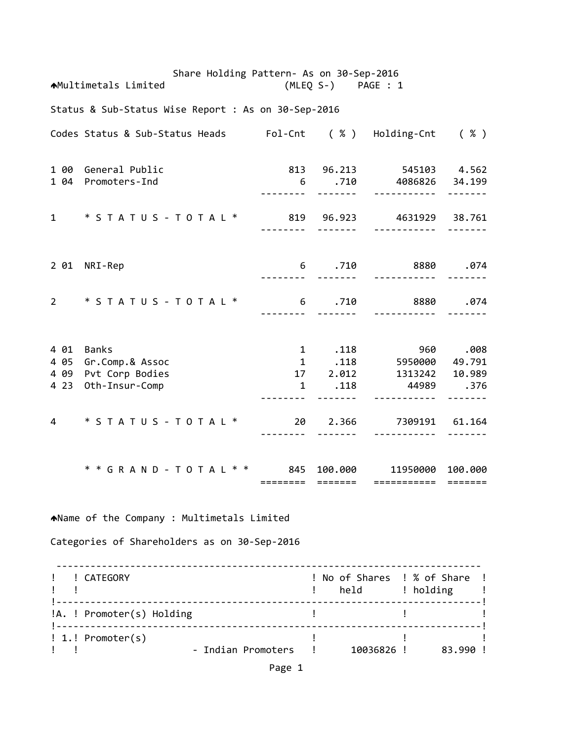Share Holding Pattern‐ As on 30‐Sep‐2016 Multimetals Limited (MLEQ S‐) PAGE : 1 Status & Sub‐Status Wise Report : As on 30‐Sep‐2016 Codes Status & Sub‐Status Heads Fol‐Cnt ( % ) Holding‐Cnt ( % ) 1 00 General Public 813 96.213 545103 4.562 1 04 Promoters‐Ind 6 .710 4086826 34.199 ‐‐‐‐‐‐‐‐ ‐‐‐‐‐‐‐ ‐‐‐‐‐‐‐‐‐‐‐ ‐‐‐‐‐‐‐ 1 \* S T A T U S ‐ T O T A L \* 819 96.923 4631929 38.761 ‐‐‐‐‐‐‐‐ ‐‐‐‐‐‐‐ ‐‐‐‐‐‐‐‐‐‐‐ ‐‐‐‐‐‐‐ 2 01 NRI‐Rep 6 .710 8880 .074 ‐‐‐‐‐‐‐‐ ‐‐‐‐‐‐‐ ‐‐‐‐‐‐‐‐‐‐‐ ‐‐‐‐‐‐‐ 2 \* S T A T U S ‐ T O T A L \* 6 .710 8880 .074 ‐‐‐‐‐‐‐‐ ‐‐‐‐‐‐‐ ‐‐‐‐‐‐‐‐‐‐‐ ‐‐‐‐‐‐‐ 4 01 Banks 1 .118 960 .008 4 05 Gr.Comp.& Assoc 4 09 Pvt Corp Bodies 17 2.012 1313242 10.989 4 23 Oth‐Insur‐Comp 1 .118 44989 .376 ‐‐‐‐‐‐‐‐ ‐‐‐‐‐‐‐ ‐‐‐‐‐‐‐‐‐‐‐ ‐‐‐‐‐‐‐ 4 \* S T A T U S ‐ T O T A L \* 20 2.366 7309191 61.164 ‐‐‐‐‐‐‐‐ ‐‐‐‐‐‐‐ ‐‐‐‐‐‐‐‐‐‐‐ ‐‐‐‐‐‐‐ \* \* G R A N D ‐ T O T A L \* \* 845 100.000 11950000 100.000 ======== ======= =========== ======= Name of the Company : Multimetals Limited Categories of Shareholders as on 30‐Sep‐2016 ‐‐‐‐‐‐‐‐‐‐‐‐‐‐‐‐‐‐‐‐‐‐‐‐‐‐‐‐‐‐‐‐‐‐‐‐‐‐‐‐‐‐‐‐‐‐‐‐‐‐‐‐‐‐‐‐‐‐‐‐‐‐‐‐‐‐‐‐‐‐‐‐‐‐‐ ! ! CATEGORY ! No of Shares ! % of Share ! example to the set of the set of the set of the set of the set of the set of the set of the set of the set of t !‐‐‐‐‐‐‐‐‐‐‐‐‐‐‐‐‐‐‐‐‐‐‐‐‐‐‐‐‐‐‐‐‐‐‐‐‐‐‐‐‐‐‐‐‐‐‐‐‐‐‐‐‐‐‐‐‐‐‐‐‐‐‐‐‐‐‐‐‐‐‐‐‐‐‐! !A. ! Promoter(s) Holding ! ! ! !‐‐‐‐‐‐‐‐‐‐‐‐‐‐‐‐‐‐‐‐‐‐‐‐‐‐‐‐‐‐‐‐‐‐‐‐‐‐‐‐‐‐‐‐‐‐‐‐‐‐‐‐‐‐‐‐‐‐‐‐‐‐‐‐‐‐‐‐‐‐‐‐‐‐‐! ! 1.! Promoter(s) ! ! ! ! ! ‐ Indian Promoters ! 10036826 ! 83.990 !

Page 1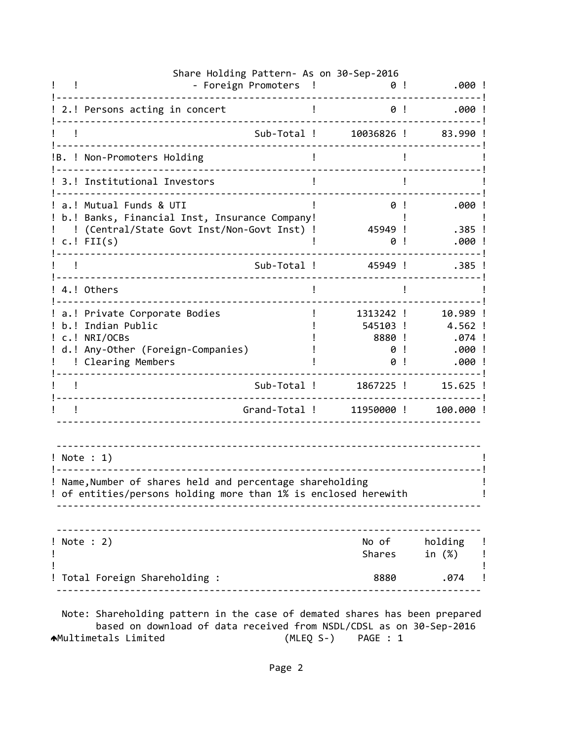| $.000$ !                                          | 0!                                        | Share Holding Pattern- As on 30-Sep-2016<br>- Foreign Promoters                                                                                          |
|---------------------------------------------------|-------------------------------------------|----------------------------------------------------------------------------------------------------------------------------------------------------------|
| .000!                                             | 0!                                        | 2.! Persons acting in concert                                                                                                                            |
| 83.990!                                           | 10036826 !                                | Sub-Total !                                                                                                                                              |
|                                                   |                                           | !B. ! Non-Promoters Holding                                                                                                                              |
|                                                   |                                           | 3.! Institutional Investors                                                                                                                              |
| .000!<br>.385 !<br>.000!                          | 0<br>45949 !<br>0                         | a.! Mutual Funds & UTI<br>b.! Banks, Financial Inst, Insurance Company!<br>! (Central/State Govt Inst/Non-Govt Inst) !<br>$c.!$ FII(s)                   |
| $.385$ !                                          | 45949 !                                   | Sub-Total !                                                                                                                                              |
|                                                   |                                           | 4.! Others                                                                                                                                               |
| 10.989 !<br>4.562 !<br>$.074$ !<br>.000!<br>.000! | 1313242 !<br>545103 !<br>8880 !<br>0<br>0 | a.! Private Corporate Bodies<br>b.! Indian Public<br>! c.! NRI/OCBs<br>d.! Any-Other (Foreign-Companies)<br>! Clearing Members                           |
| $15.625$ !                                        | 1867225 !                                 | Sub-Total !                                                                                                                                              |
| 100.000!                                          | 11950000!                                 | Grand-Total !                                                                                                                                            |
|                                                   |                                           | ! Note : 1)<br>! Name, Number of shares held and percentage shareholding<br>! of entities/persons holding more than 1% is enclosed herewith<br>--------- |
| No of holding !<br>Shares in (%) !                |                                           | $!$ Note : 2)                                                                                                                                            |
| 8880.074 !                                        |                                           | ! Total Foreign Shareholding :                                                                                                                           |

 based on download of data received from NSDL/CDSL as on 30‐Sep‐2016 Multimetals Limited (MLEQ S‐) PAGE : 1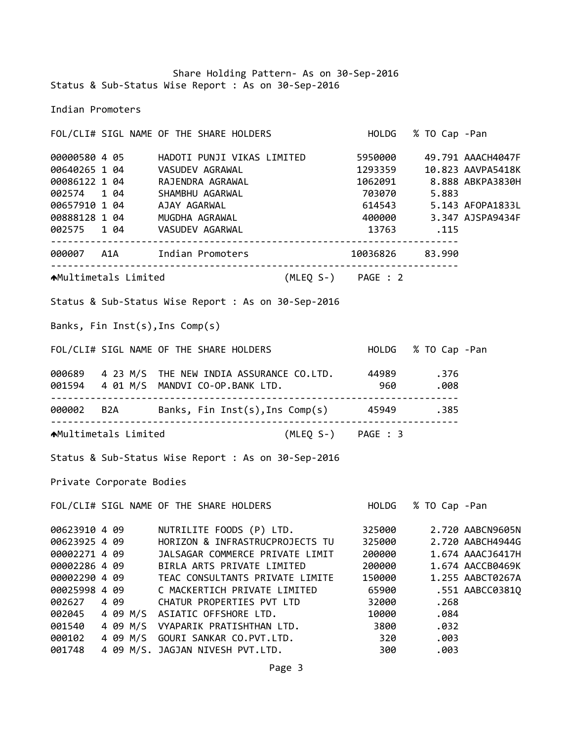Share Holding Pattern‐ As on 30‐Sep‐2016 Status & Sub‐Status Wise Report : As on 30‐Sep‐2016

Indian Promoters

FOL/CLI# SIGL NAME OF THE SHARE HOLDERS HOLDG % TO Cap ‐Pan 4 05 HADOTI PUNJI VIKAS LIMITED 5950000 49.791 AAACH4047F 1 04 VASUDEV AGRAWAL 1293359 10.823 AAVPA5418K 1 04 RAJENDRA AGRAWAL 1062091 8.888 ABKPA3830H 1 04 SHAMBHU AGARWAL 703070 5.883 1 04 AJAY AGARWAL 614543 5.143 AFOPA1833L 1 04 MUGDHA AGRAWAL 400000 3.347 AJSPA9434F 1 04 VASUDEV AGARWAL 13763 .115 ‐‐‐‐‐‐‐‐‐‐‐‐‐‐‐‐‐‐‐‐‐‐‐‐‐‐‐‐‐‐‐‐‐‐‐‐‐‐‐‐‐‐‐‐‐‐‐‐‐‐‐‐‐‐‐‐‐‐‐‐‐‐‐‐‐‐‐‐‐‐‐‐ A1A Indian Promoters 10036826 83.990 ‐‐‐‐‐‐‐‐‐‐‐‐‐‐‐‐‐‐‐‐‐‐‐‐‐‐‐‐‐‐‐‐‐‐‐‐‐‐‐‐‐‐‐‐‐‐‐‐‐‐‐‐‐‐‐‐‐‐‐‐‐‐‐‐‐‐‐‐‐‐‐‐ Multimetals Limited (MLEQ S‐) PAGE : 2 Status & Sub‐Status Wise Report : As on 30‐Sep‐2016 Banks, Fin Inst(s),Ins Comp(s) FOL/CLI# SIGL NAME OF THE SHARE HOLDERS HOLDG % TO Cap ‐Pan 4 23 M/S THE NEW INDIA ASSURANCE CO.LTD. 44989 .376 4 01 M/S MANDVI CO‐OP.BANK LTD. 960 .008 ‐‐‐‐‐‐‐‐‐‐‐‐‐‐‐‐‐‐‐‐‐‐‐‐‐‐‐‐‐‐‐‐‐‐‐‐‐‐‐‐‐‐‐‐‐‐‐‐‐‐‐‐‐‐‐‐‐‐‐‐‐‐‐‐‐‐‐‐‐‐‐‐ B2A Banks, Fin Inst(s),Ins Comp(s) 45949 .385 ‐‐‐‐‐‐‐‐‐‐‐‐‐‐‐‐‐‐‐‐‐‐‐‐‐‐‐‐‐‐‐‐‐‐‐‐‐‐‐‐‐‐‐‐‐‐‐‐‐‐‐‐‐‐‐‐‐‐‐‐‐‐‐‐‐‐‐‐‐‐‐‐ Multimetals Limited (MLEQ S‐) PAGE : 3 Status & Sub‐Status Wise Report : As on 30‐Sep‐2016 Private Corporate Bodies FOL/CLI# SIGL NAME OF THE SHARE HOLDERS HOLDG % TO Cap ‐Pan 4 09 NUTRILITE FOODS (P) LTD. 325000 2.720 AABCN9605N 4 09 HORIZON & INFRASTRUCPROJECTS TU 325000 2.720 AABCH4944G 4 09 JALSAGAR COMMERCE PRIVATE LIMIT 200000 1.674 AAACJ6417H 4 09 BIRLA ARTS PRIVATE LIMITED 200000 1.674 AACCB0469K 4 09 TEAC CONSULTANTS PRIVATE LIMITE 150000 1.255 AABCT0267A 4 09 C MACKERTICH PRIVATE LIMITED 65900 .551 AABCC0381Q 4 09 CHATUR PROPERTIES PVT LTD 32000 .268 4 09 M/S ASIATIC OFFSHORE LTD. 10000 .084 4 09 M/S VYAPARIK PRATISHTHAN LTD. 3800 .032 4 09 M/S GOURI SANKAR CO.PVT.LTD. 320 .003 4 09 M/S. JAGJAN NIVESH PVT.LTD. 300 .003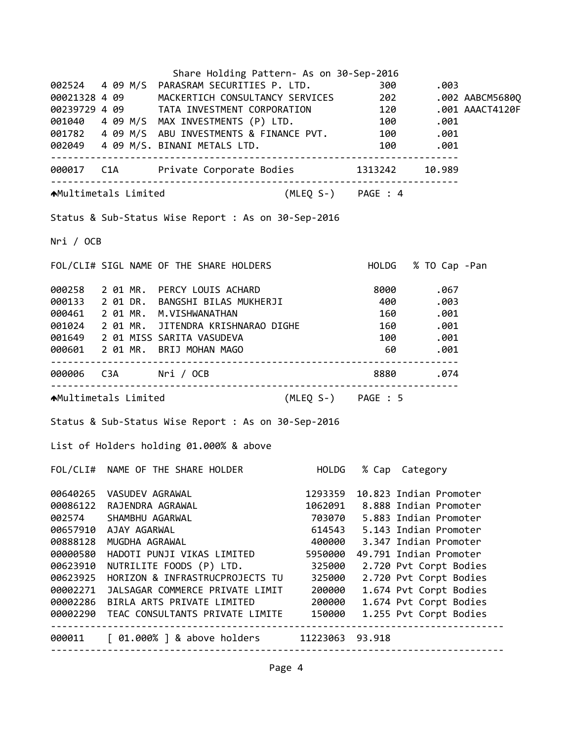|           |                       | Share Holding Pattern- As on 30-Sep-2016                                                                                                                                                                                                |         |                                |  |
|-----------|-----------------------|-----------------------------------------------------------------------------------------------------------------------------------------------------------------------------------------------------------------------------------------|---------|--------------------------------|--|
|           |                       |                                                                                                                                                                                                                                         |         |                                |  |
|           |                       | 002524  4  09  M/S  PARASRAM SECURITIES P. LTD.  300  .003<br>00021328  4  09  MACKERTICH CONSULTANCY SERVICES  202  .002 AABCM5680Q                                                                                                    |         |                                |  |
|           |                       | 00239729 4 09 TATA INVESTMENT CORPORATION 120 .001 AAACT4120F<br>001040 4 09 M/S MAX INVESTMENTS (P) LTD. 100 .001<br>001782 4 09 M/S ABU INVESTMENTS & FINANCE PVT. 100 .001<br>001782 4 09 M/S ABU INVESTMENTS & FINANCE PVT. 100 .00 |         |                                |  |
|           |                       |                                                                                                                                                                                                                                         |         |                                |  |
|           |                       |                                                                                                                                                                                                                                         |         |                                |  |
|           |                       |                                                                                                                                                                                                                                         |         |                                |  |
|           |                       | 000017 C1A Private Corporate Bodies 1313242 10.989                                                                                                                                                                                      |         |                                |  |
|           |                       | AMultimetals Limited (MLEQ S-) PAGE : 4                                                                                                                                                                                                 |         |                                |  |
|           |                       | Status & Sub-Status Wise Report : As on 30-Sep-2016                                                                                                                                                                                     |         |                                |  |
| Nri / OCB |                       |                                                                                                                                                                                                                                         |         |                                |  |
|           |                       | FOL/CLI# SIGL NAME OF THE SHARE HOLDERS HOLD HOLDG % TO Cap -Pan                                                                                                                                                                        |         |                                |  |
|           |                       | 000258 2 01 MR. PERCY LOUIS ACHARD 8000 .067<br>000133 2 01 DR. BANGSHI BILAS MUKHERJI 400 .003<br>000461 2 01 MR. M.VISHWANATHAN 160 .001                                                                                              |         |                                |  |
|           |                       |                                                                                                                                                                                                                                         |         |                                |  |
|           |                       |                                                                                                                                                                                                                                         |         |                                |  |
|           |                       | 001024 2 01 MR. JITENDRA KRISHNARAO DIGHE 160 .001                                                                                                                                                                                      |         |                                |  |
|           |                       | 001649 2 01 MISS SARITA VASUDEVA                                                                                                                                                                                                        |         |                                |  |
|           |                       | 000601 2 01 MR. BRIJ MOHAN MAGO                                                                                                                                                                                                         |         | 001. 100<br>081. 60            |  |
|           |                       | 000006 C3A Nri / OCB 3880 889 .074                                                                                                                                                                                                      |         |                                |  |
|           |                       | AMultimetals Limited (MLEQ S-) PAGE : 5                                                                                                                                                                                                 |         |                                |  |
|           |                       | Status & Sub-Status Wise Report : As on 30-Sep-2016                                                                                                                                                                                     |         |                                |  |
|           |                       | List of Holders holding 01.000% & above                                                                                                                                                                                                 |         |                                |  |
|           |                       | FOL/CLI# NAME OF THE SHARE HOLDER                                                                                                                                                                                                       |         | HOLDG % Cap Category           |  |
| 00640265  | VASUDEV AGRAWAL       |                                                                                                                                                                                                                                         | 1293359 | 10.823 Indian Promoter         |  |
| 00086122  | RAJENDRA AGRAWAL      |                                                                                                                                                                                                                                         |         | 1062091 8.888 Indian Promoter  |  |
| 002574    | SHAMBHU AGARWAL       |                                                                                                                                                                                                                                         |         | 703070 5.883 Indian Promoter   |  |
|           | 00657910 AJAY AGARWAL |                                                                                                                                                                                                                                         |         | 614543 5.143 Indian Promoter   |  |
| 00888128  | MUGDHA AGRAWAL        |                                                                                                                                                                                                                                         |         | 400000 3.347 Indian Promoter   |  |
| 00000580  |                       | HADOTI PUNJI VIKAS LIMITED                                                                                                                                                                                                              |         | 5950000 49.791 Indian Promoter |  |
| 00623910  |                       | NUTRILITE FOODS (P) LTD.                                                                                                                                                                                                                | 325000  | 2.720 Pvt Corpt Bodies         |  |
| 00623925  |                       | HORIZON & INFRASTRUCPROJECTS TU                                                                                                                                                                                                         | 325000  | 2.720 Pvt Corpt Bodies         |  |
| 00002271  |                       | JALSAGAR COMMERCE PRIVATE LIMIT                                                                                                                                                                                                         | 200000  | 1.674 Pvt Corpt Bodies         |  |
|           |                       | 00002286 BIRLA ARTS PRIVATE LIMITED                                                                                                                                                                                                     | 200000  | 1.674 Pvt Corpt Bodies         |  |
|           |                       | 00002290 TEAC CONSULTANTS PRIVATE LIMITE 150000                                                                                                                                                                                         |         | 1.255 Pvt Corpt Bodies         |  |
|           |                       | 000011 [ 01.000% ] & above holders 11223063 93.918                                                                                                                                                                                      |         |                                |  |
|           |                       |                                                                                                                                                                                                                                         |         |                                |  |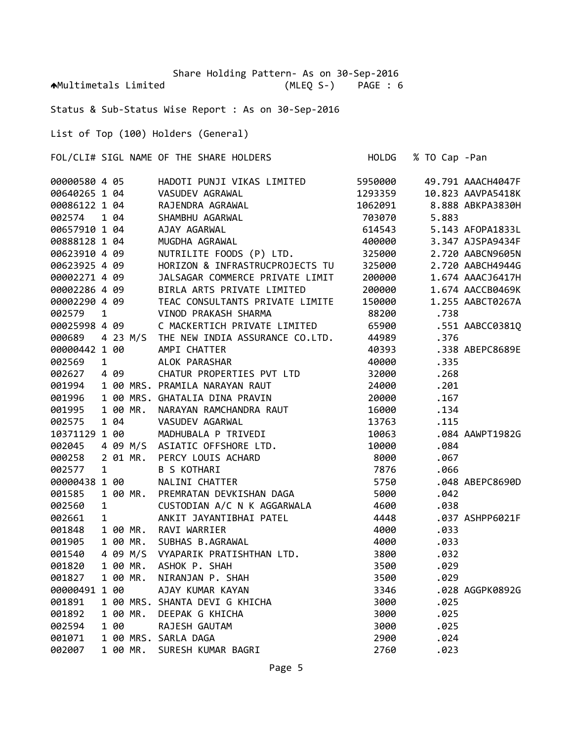Share Holding Pattern‐ As on 30‐Sep‐2016 Multimetals Limited (MLEQ S‐) PAGE : 6

Status & Sub‐Status Wise Report : As on 30‐Sep‐2016

List of Top (100) Holders (General)

FOL/CLI# SIGL NAME OF THE SHARE HOLDERS HOLDG % TO Cap ‐Pan

| 00000580 4 05                  |              |              |          | HADOTI PUNJI VIKAS LIMITED                                                                                                                                                 | 5950000 |       | 49.791 AAACH4047F |
|--------------------------------|--------------|--------------|----------|----------------------------------------------------------------------------------------------------------------------------------------------------------------------------|---------|-------|-------------------|
| 00640265 1 04                  |              |              |          | VASUDEV AGRAWAL<br>RAJENDRA AGRAWAL<br>SHAMBHU AGARWAL<br>AJAY AGARWAL<br>MUGDHA AGRAWAL                                                                                   | 1293359 |       | 10.823 AAVPA5418K |
| 00086122 1 04                  |              |              |          |                                                                                                                                                                            | 1062091 |       | 8.888 ABKPA3830H  |
| 002574                         |              | 1 04         |          |                                                                                                                                                                            | 703070  | 5.883 |                   |
| 00657910 1 04                  |              |              |          |                                                                                                                                                                            | 614543  |       | 5.143 AFOPA1833L  |
| 00888128 1 04                  |              |              |          |                                                                                                                                                                            | 400000  |       | 3.347 AJSPA9434F  |
| 00623910 4 09                  |              |              |          | NUTRILITE FOODS (P) LTD.                                                                                                                                                   | 325000  |       | 2.720 AABCN9605N  |
| 00623925 4 09                  |              |              |          | HORIZON & INFRASTRUCPROJECTS TU                                                                                                                                            | 325000  |       | 2.720 AABCH4944G  |
| 00002271 4 09                  |              |              |          | JALSAGAR COMMERCE PRIVATE LIMIT                                                                                                                                            | 200000  |       | 1.674 AAACJ6417H  |
| 000022/1 4 09<br>00002286 4 09 |              |              |          | BIRLA ARTS PRIVATE LIMITED                                                                                                                                                 | 200000  |       | 1.674 AACCB0469K  |
| 00002290 4 09                  |              |              |          | TEAC CONSULTANTS PRIVATE LIMITE                                                                                                                                            | 150000  |       | 1.255 AABCT0267A  |
| 002579                         | $\mathbf{1}$ |              |          | VINOD PRAKASH SHARMA                                                                                                                                                       | 88200   | .738  |                   |
| 00025998 4 09                  |              |              |          | C MACKERTICH PRIVATE LIMITED                                                                                                                                               | 65900   |       | .551 AABCC0381Q   |
| 000689                         |              |              |          | 4 23 M/S THE NEW INDIA ASSURANCE CO.LTD.                                                                                                                                   | 44989   | .376  |                   |
| 00000442 1 00                  |              |              |          | AMPI CHATTER                                                                                                                                                               | 40393   |       | .338 ABEPC8689E   |
| 002569                         |              | $\mathbf{1}$ |          | ALOK PARASHAR                                                                                                                                                              | 40000   | .335  |                   |
| 002627                         |              | 4 09         |          | CHATUR PROPERTIES PVT LTD                                                                                                                                                  | 32000   | .268  |                   |
| 001994                         |              |              |          | 1 00 MRS. PRAMILA NARAYAN RAUT                                                                                                                                             | 24000   | .201  |                   |
| 001996                         |              |              |          | 1 00 MRS. GHATALIA DINA PRAVIN                                                                                                                                             | 20000   | .167  |                   |
| 001995                         |              |              | 1 00 MR. | NARAYAN RAMCHANDRA RAUT                                                                                                                                                    | 16000   | .134  |                   |
| 002575                         |              |              |          |                                                                                                                                                                            | 13763   | .115  |                   |
| 10371129 1 00                  |              |              |          |                                                                                                                                                                            | 10063   |       | .084 AAWPT1982G   |
| 002045                         |              |              |          | 1 00 MR. NARAYAN KAMULTANDAR NOV.<br>1 04 VASUDEV AGARWAL<br>29 1 00 MADHUBALA P TRIVEDI<br>4 09 M/S ASIATIC OFFSHORE LTD.<br>2 01 MR. PERCY LOUIS ACHARD<br>1 B S KOTHARI | 10000   | .084  |                   |
| 000258                         |              |              |          |                                                                                                                                                                            | 8000    | .067  |                   |
| 002577                         |              |              |          |                                                                                                                                                                            | 7876    | .066  |                   |
| 00000438 1 00                  |              |              |          | NALINI CHATTER                                                                                                                                                             | 5750    |       | .048 ABEPC8690D   |
| 001585                         |              |              |          | 1 00 MR. PREMRATAN DEVKISHAN DAGA                                                                                                                                          | 5000    | .042  |                   |
| 002560                         | $\mathbf{1}$ |              |          | CUSTODIAN A/C N K AGGARWALA<br>ANKIT JAYANTIBHAI PATEL<br>ANKIT ULARITA                                                                                                    | 4600    | .038  |                   |
| 002661                         | 1            |              |          |                                                                                                                                                                            | 4448    |       | .037 ASHPP6021F   |
| 001848                         |              |              |          | 1 00 MR. RAVI WARRIER                                                                                                                                                      | 4000    | .033  |                   |
| 001905                         |              |              | 1 00 MR. | SUBHAS B.AGRAWAL                                                                                                                                                           | 4000    | .033  |                   |
| 001540                         |              |              |          | 4 09 M/S VYAPARIK PRATISHTHAN LTD.                                                                                                                                         | 3800    | .032  |                   |
| 001820                         |              |              |          |                                                                                                                                                                            | 3500    | .029  |                   |
| 001827                         |              |              |          |                                                                                                                                                                            | 3500    | .029  |                   |
| 00000491 1 00                  |              |              |          |                                                                                                                                                                            | 3346    |       | .028 AGGPK0892G   |
| 001891                         |              |              |          |                                                                                                                                                                            | 3000    | .025  |                   |
| 001892                         |              |              |          |                                                                                                                                                                            | 3000    | .025  |                   |
| 002594                         |              |              |          |                                                                                                                                                                            | 3000    | .025  |                   |
| 001071                         |              |              |          | 4 09 MR. ASHOK P. SHAH<br>1 00 MR. NIRANJAN P. SHAH<br>1 00 MRS. SHANTA DEVI G KHICHA<br>1 00 MRS. SHANTA DEVI G KHICHA<br>1 00 MR. DEEPAK G KHICHA<br>1 00 RAJESH GAUTAM  | 2900    | .024  |                   |
| 002007                         |              |              |          | 1 00 MR. SURESH KUMAR BAGRI                                                                                                                                                | 2760    | .023  |                   |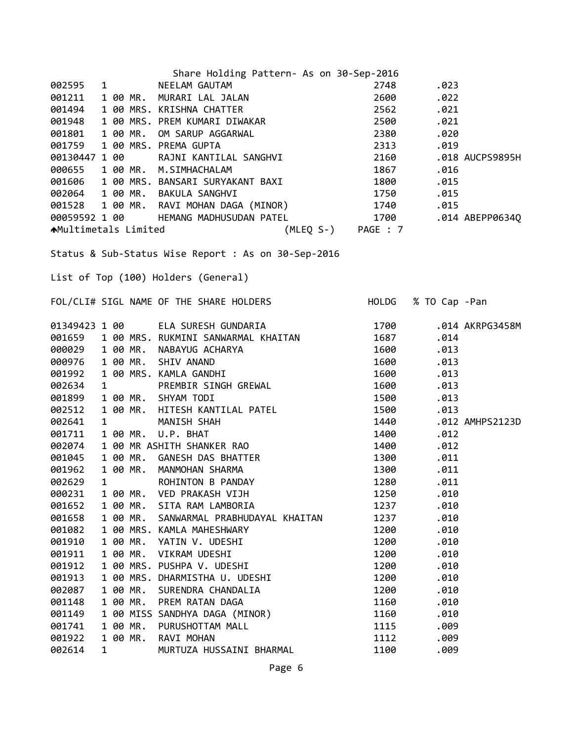| Share Holding Pattern- As on 30-Sep-2016                                                                                                                                                                                                    |                    |                     |
|---------------------------------------------------------------------------------------------------------------------------------------------------------------------------------------------------------------------------------------------|--------------------|---------------------|
| NEELAM GAUTAM<br>002595<br>$1 \quad \cdots$                                                                                                                                                                                                 | 2748               | .023                |
| 001211                                                                                                                                                                                                                                      | 2600               | .022                |
| 1 NEELAM GAUTAM<br>100 MR. MURARI LAL JALAN<br>100 MRS. KRISHNA CHATTER<br>100 MRS. PREM KUMARI DIWAKAR<br>100 MR. OM SARUP AGGARWAL<br>100 MRS. PREMA GUPTA<br>100 RAJNI KANTILAL SANGHVI<br>100 RAJNI KANTILAL SANGHVI<br>001494          | 2562               | .021                |
| 001948                                                                                                                                                                                                                                      | 2500               | .021                |
| 001801<br>1 00 MR.                                                                                                                                                                                                                          | 2380               | .020                |
| 1 00 MRS. PREMA GUPTA<br>001759                                                                                                                                                                                                             | 2313               | .019                |
| 00130447 1 00                                                                                                                                                                                                                               | 2160               | .018 AUCPS9895H     |
| 000655<br>1 00 MR. M.SIMHACHALAM                                                                                                                                                                                                            |                    | .016                |
| 001606                                                                                                                                                                                                                                      |                    | .015                |
|                                                                                                                                                                                                                                             |                    |                     |
|                                                                                                                                                                                                                                             |                    |                     |
|                                                                                                                                                                                                                                             |                    |                     |
| <b>↑</b> Multimetals Limited                                                                                                                                                                                                                | (MLEQ S-) PAGE : 7 |                     |
|                                                                                                                                                                                                                                             |                    |                     |
| Status & Sub-Status Wise Report : As on 30-Sep-2016                                                                                                                                                                                         |                    |                     |
|                                                                                                                                                                                                                                             |                    |                     |
| List of Top (100) Holders (General)                                                                                                                                                                                                         |                    |                     |
|                                                                                                                                                                                                                                             |                    |                     |
| FOL/CLI# SIGL NAME OF THE SHARE HOLDERS                                                                                                                                                                                                     |                    | HOLDG % TO Cap -Pan |
|                                                                                                                                                                                                                                             |                    |                     |
|                                                                                                                                                                                                                                             | 1700               | .014 AKRPG3458M     |
| 01349423 1 00     ELA SURESH GUNDARIA<br>001659   1 00 MRS. RUKMINI SANWARMAL KHAITAN                                                                                                                                                       | 1687               | .014                |
| 000029 1 00 MR.                                                                                                                                                                                                                             | 1600               | .013                |
| 1 00 MR.<br>000976                                                                                                                                                                                                                          | 1600               | .013                |
| 1 00 MRS. KAMLA GANDHI<br>001992                                                                                                                                                                                                            | 1600               | .013                |
| 002634<br>$\mathbf{1}$                                                                                                                                                                                                                      | 1600               | .013                |
| 1 00 MR. SHYAM TODI<br>001899                                                                                                                                                                                                               | 1500               | .013                |
| 002512<br>1 00 MR.                                                                                                                                                                                                                          | 1500               | .013                |
| 002641<br>$\mathbf{1}$                                                                                                                                                                                                                      | 1440               | .012 AMHPS2123D     |
| 001711<br>1 00 MR.                                                                                                                                                                                                                          | 1400               | .012                |
| 1 00 MR ASHITH SHANKER RAO<br>002074                                                                                                                                                                                                        | 1400               | .012                |
| RUKMINI SANWARMAL KHAITAN<br>NABAYUG ACHARYA<br>KAMLA GANDHI<br>PREMBIR SINGH GREWAL<br>SHYAM TODI<br>HITESH KANTILAL PATEL<br>MANISH SHAH<br>U.P. BHAT<br>SHITH SHANKER RAO<br>GANESH DAS BHATTER<br>MANMOHAN SHARMA<br>001045<br>1 00 MR. | 1300               | .011                |
| 1 00 MR. MANMOHAN SHARMA<br>001962                                                                                                                                                                                                          | 1300               | .011                |
| 002629<br>$\mathbf{1}$<br>ROHINTON B PANDAY                                                                                                                                                                                                 | 1280               | .011                |
| 000231<br>1 00 MR.<br>VED PRAKASH VIJH                                                                                                                                                                                                      | 1250               | .010                |
| 1 00 MR.<br>SITA RAM LAMBORIA<br>001652                                                                                                                                                                                                     | 1237               | .010                |
| 1 00 MR.<br>001658<br>SANWARMAL PRABHUDAYAL KHAITAN                                                                                                                                                                                         | 1237               | .010                |
| 001082<br>1 00 MRS. KAMLA MAHESHWARY                                                                                                                                                                                                        | 1200               | .010                |
| 1 00 MR.<br>001910<br>YATIN V. UDESHI                                                                                                                                                                                                       | 1200               | .010                |
| 1 00 MR.<br>001911<br>VIKRAM UDESHI                                                                                                                                                                                                         | 1200               | .010                |
| 001912<br>1 00 MRS. PUSHPA V. UDESHI                                                                                                                                                                                                        | 1200               | .010                |
| 001913<br>1 00 MRS. DHARMISTHA U. UDESHI                                                                                                                                                                                                    | 1200               | .010                |
| 1 00 MR.<br>002087<br>SURENDRA CHANDALIA                                                                                                                                                                                                    | 1200               | .010                |
| 1 00 MR.<br>001148<br>PREM RATAN DAGA                                                                                                                                                                                                       | 1160               | .010                |
| 1 00 MISS SANDHYA DAGA (MINOR)<br>001149                                                                                                                                                                                                    | 1160               | .010                |
| 1 00 MR.<br>PURUSHOTTAM MALL<br>001741                                                                                                                                                                                                      | 1115               | .009                |
| 1 00 MR.<br>RAVI MOHAN<br>001922                                                                                                                                                                                                            | 1112               | .009                |
| MURTUZA HUSSAINI BHARMAL<br>002614<br>$\mathbf{1}$                                                                                                                                                                                          | 1100               | .009                |
|                                                                                                                                                                                                                                             |                    |                     |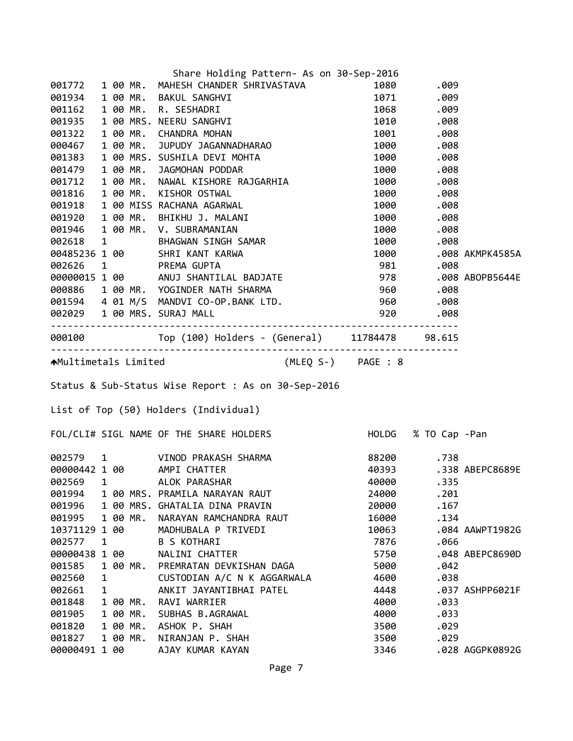|               |              |          | Share Holding Pattern- As on 30-Sep-2016                                                                                                                                                                                               |                |                     |                       |
|---------------|--------------|----------|----------------------------------------------------------------------------------------------------------------------------------------------------------------------------------------------------------------------------------------|----------------|---------------------|-----------------------|
|               |              |          | 001772 1 00 MR. MAHESH CHANDER SHRIVASTAVA                                                                                                                                                                                             |                | 1080.009            |                       |
|               |              |          | 001934 1 00 MR. BAKUL SANGHVI                                                                                                                                                                                                          |                | 1071 .009           |                       |
|               |              |          | 1 00 MR. BAKUL SANGHVI<br>1 00 MR. R. SESHADRI<br>1 00 MRS. NEERU SANGHVI<br>1 00 MR. CHANDRA MOHAN<br>1 00 MR. JUPUDY JAGANNADHARAO<br>001162  1  00 MR. R. SESHADRI                                                                  |                | 1068 .009           |                       |
|               |              |          | 001935 1 00 MRS. NEERU SANGHVI                                                                                                                                                                                                         |                | 1010.008            |                       |
| 001322        |              |          |                                                                                                                                                                                                                                        |                | 1001 .008           |                       |
| 000467        |              |          |                                                                                                                                                                                                                                        | 1000           | .008                |                       |
|               |              |          | 000467 100 MR, JUPUDY JAGANNADHARAO 1000 .008<br>001383 100 MR, JAGMOHAN PODDAR 1000 .008<br>001712 100 MR, NAWAL KISHORE RAJGARHIA 1000 .008<br>001712 100 MR, NAWAL KISHORE RAJGARHIA 1000 .008<br>001816 100 MR, KISHOR OSTWAL 1000 |                |                     |                       |
|               |              |          |                                                                                                                                                                                                                                        |                |                     |                       |
|               |              |          |                                                                                                                                                                                                                                        |                |                     |                       |
|               |              |          |                                                                                                                                                                                                                                        |                |                     |                       |
|               |              |          |                                                                                                                                                                                                                                        |                |                     |                       |
|               |              |          |                                                                                                                                                                                                                                        |                |                     |                       |
|               |              |          |                                                                                                                                                                                                                                        |                |                     |                       |
|               |              |          |                                                                                                                                                                                                                                        |                |                     |                       |
|               |              |          |                                                                                                                                                                                                                                        |                |                     | 1000 .008 AKMPK4585A  |
|               |              |          | 002626 1 PREMA GUPTA 981 .008<br>00000015 1 00 ANUJ SHANTILAL BADJATE 978 .008 ABOPB5644E<br>000886 1 00 MR. YOGINDER NATH SHARMA 960 .008 ABOPB5644E<br>001594 4 01 M/S MANDVI CO-OP.BANK LTD. 960 .008<br>002020 1 20 MPG SUPPLEMANK |                |                     |                       |
|               |              |          |                                                                                                                                                                                                                                        |                |                     |                       |
|               |              |          |                                                                                                                                                                                                                                        |                |                     |                       |
|               |              |          |                                                                                                                                                                                                                                        |                |                     |                       |
|               |              |          | 002029 1 00 MRS. SURAJ MALL                                                                                                                                                                                                            | 920            | .008                |                       |
|               |              |          |                                                                                                                                                                                                                                        |                |                     |                       |
|               |              |          | 000100 Top (100) Holders - (General) 11784478 98.615                                                                                                                                                                                   |                |                     |                       |
|               |              |          | AMultimetals Limited (MLEQ S-) PAGE : 8                                                                                                                                                                                                |                |                     |                       |
|               |              |          |                                                                                                                                                                                                                                        |                |                     |                       |
|               |              |          | Status & Sub-Status Wise Report : As on 30-Sep-2016                                                                                                                                                                                    |                |                     |                       |
|               |              |          |                                                                                                                                                                                                                                        |                |                     |                       |
|               |              |          | List of Top (50) Holders (Individual)                                                                                                                                                                                                  |                |                     |                       |
|               |              |          | FOL/CLI# SIGL NAME OF THE SHARE HOLDERS                                                                                                                                                                                                |                | HOLDG % TO Cap -Pan |                       |
|               |              |          |                                                                                                                                                                                                                                        |                | 88200 .738          |                       |
|               |              |          |                                                                                                                                                                                                                                        |                |                     |                       |
| 002569 1      |              |          | 002579 1 VINOD PRAKASH SHARMA<br>00000442 1 00 AMPI CHATTER                                                                                                                                                                            | 40000          |                     | 40393 .338 ABEPC8689E |
| 001994        |              |          | ALOK PARASHAR<br>1 00 MRS. PRAMILA NARAYAN RAUT                                                                                                                                                                                        | 24000          | .335<br>.201        |                       |
| 001996        |              |          | 1 00 MRS. GHATALIA DINA PRAVIN                                                                                                                                                                                                         | 20000          | .167                |                       |
| 001995        |              | 1 00 MR. | NARAYAN RAMCHANDRA RAUT                                                                                                                                                                                                                |                | .134                |                       |
| 10371129 1 00 |              |          | MADHUBALA P TRIVEDI                                                                                                                                                                                                                    | 16000<br>10063 |                     |                       |
| 002577        | $\mathbf{1}$ |          | <b>B S KOTHARI</b>                                                                                                                                                                                                                     | 7876           | .066                | .084 AAWPT1982G       |
| 00000438 1 00 |              |          | NALINI CHATTER                                                                                                                                                                                                                         |                |                     | .048 ABEPC8690D       |
| 001585        |              | 1 00 MR. | PREMRATAN DEVKISHAN DAGA                                                                                                                                                                                                               | 5750           | .042                |                       |
| 002560        | 1            |          | CUSTODIAN A/C N K AGGARWALA                                                                                                                                                                                                            | 5000<br>4600   | .038                |                       |
| 002661        | 1            |          | ANKIT JAYANTIBHAI PATEL                                                                                                                                                                                                                | 4448           |                     | .037 ASHPP6021F       |
| 001848        |              | 1 00 MR. | RAVI WARRIER                                                                                                                                                                                                                           | 4000           | .033                |                       |
| 001905        |              | 1 00 MR. | SUBHAS B.AGRAWAL                                                                                                                                                                                                                       | 4000           | .033                |                       |
| 001820        |              | 1 00 MR. | ASHOK P. SHAH                                                                                                                                                                                                                          | 3500           | .029                |                       |
| 001827        |              | 1 00 MR. | NIRANJAN P. SHAH                                                                                                                                                                                                                       | 3500           | .029                |                       |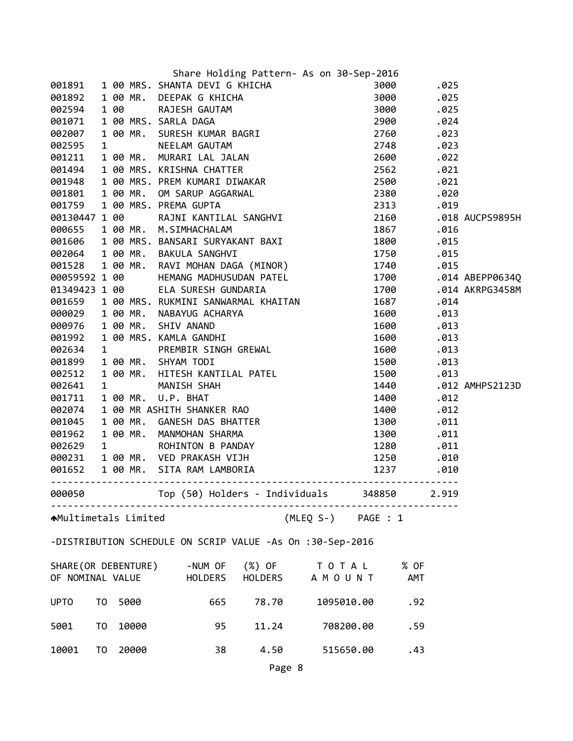|                      |                |       | Share Holding Pattern- As on 30-Sep-2016                                                                                                                                                                                                                                                                   |                   |       |  |
|----------------------|----------------|-------|------------------------------------------------------------------------------------------------------------------------------------------------------------------------------------------------------------------------------------------------------------------------------------------------------------|-------------------|-------|--|
|                      |                |       |                                                                                                                                                                                                                                                                                                            |                   |       |  |
|                      |                |       |                                                                                                                                                                                                                                                                                                            |                   |       |  |
|                      |                |       |                                                                                                                                                                                                                                                                                                            |                   |       |  |
|                      |                |       |                                                                                                                                                                                                                                                                                                            |                   |       |  |
|                      |                |       |                                                                                                                                                                                                                                                                                                            |                   |       |  |
|                      |                |       |                                                                                                                                                                                                                                                                                                            |                   |       |  |
|                      |                |       |                                                                                                                                                                                                                                                                                                            |                   |       |  |
|                      |                |       |                                                                                                                                                                                                                                                                                                            |                   |       |  |
|                      |                |       |                                                                                                                                                                                                                                                                                                            |                   |       |  |
|                      |                |       |                                                                                                                                                                                                                                                                                                            |                   |       |  |
|                      |                |       |                                                                                                                                                                                                                                                                                                            |                   |       |  |
|                      |                |       |                                                                                                                                                                                                                                                                                                            |                   |       |  |
|                      |                |       |                                                                                                                                                                                                                                                                                                            |                   |       |  |
|                      |                |       |                                                                                                                                                                                                                                                                                                            |                   |       |  |
|                      |                |       |                                                                                                                                                                                                                                                                                                            |                   |       |  |
|                      |                |       |                                                                                                                                                                                                                                                                                                            |                   |       |  |
|                      |                |       | 3 Share Holding Pattern- As on 30-Sep-2016<br>001891 1 00 MRS. SHANTA DEVIG KHICHA 3000 .025<br>001892 1 00 MR. DEFPAK G KHICHA 3000 .025<br>002594 1 00 MRS. SARLA DAGA 2900 .025<br>002759 1 00 MRS. SARLA DAGA 2900 .023<br>002259 1<br>00059592 1 00 HEMANG MADHUSUDAN PATEL 1700 1700 .014 ABEPP0634Q |                   |       |  |
|                      |                |       |                                                                                                                                                                                                                                                                                                            |                   |       |  |
|                      |                |       |                                                                                                                                                                                                                                                                                                            |                   |       |  |
|                      |                |       |                                                                                                                                                                                                                                                                                                            |                   |       |  |
|                      |                |       |                                                                                                                                                                                                                                                                                                            |                   |       |  |
|                      |                |       |                                                                                                                                                                                                                                                                                                            |                   |       |  |
|                      |                |       |                                                                                                                                                                                                                                                                                                            |                   |       |  |
|                      |                |       |                                                                                                                                                                                                                                                                                                            |                   |       |  |
|                      |                |       |                                                                                                                                                                                                                                                                                                            |                   |       |  |
|                      |                |       |                                                                                                                                                                                                                                                                                                            |                   |       |  |
|                      |                |       |                                                                                                                                                                                                                                                                                                            |                   |       |  |
|                      |                |       |                                                                                                                                                                                                                                                                                                            |                   |       |  |
|                      |                |       |                                                                                                                                                                                                                                                                                                            |                   |       |  |
|                      |                |       |                                                                                                                                                                                                                                                                                                            |                   |       |  |
|                      |                |       |                                                                                                                                                                                                                                                                                                            |                   |       |  |
|                      |                |       |                                                                                                                                                                                                                                                                                                            |                   |       |  |
|                      |                |       | 00059592 1 00<br>00134923 1 00 ELA SUREBH GUNDARIA<br>0015959 1 00 ELA SUREBH GUNDARIA<br>001659 1 00 MR. RUKMINI SANWARMAL KHAITAN 1687 014 AKPG3458M<br>000029 1 00 MR. SHIV ANAND 1600 013<br>002059 1 00 MR. SHIV ANAND 1600 013<br>00                                                                 |                   |       |  |
| 000050               |                |       | Top (50) Holders - Individuals 348850                                                                                                                                                                                                                                                                      |                   | 2.919 |  |
| AMultimetals Limited |                |       | (MLEQ S-) PAGE : 1                                                                                                                                                                                                                                                                                         |                   |       |  |
|                      |                |       |                                                                                                                                                                                                                                                                                                            |                   |       |  |
|                      |                |       | -DISTRIBUTION SCHEDULE ON SCRIP VALUE -As On :30-Sep-2016                                                                                                                                                                                                                                                  |                   |       |  |
| SHARE(OR DEBENTURE)  |                |       | (%) OF<br>-NUM OF<br>T O T A L                                                                                                                                                                                                                                                                             | % OF              |       |  |
| OF NOMINAL VALUE     |                |       | <b>HOLDERS</b><br>AMOUNT<br>HOLDERS                                                                                                                                                                                                                                                                        | AMT               |       |  |
| <b>UPTO</b>          | TO             | 5000  | 665<br>78.70                                                                                                                                                                                                                                                                                               | 1095010.00<br>.92 |       |  |
| 5001                 | T <sub>0</sub> | 10000 | 11.24<br>95                                                                                                                                                                                                                                                                                                | 708200.00<br>.59  |       |  |
| 10001                | T <sub>0</sub> | 20000 | 38<br>4.50                                                                                                                                                                                                                                                                                                 | 515650.00<br>.43  |       |  |
|                      |                |       | Page 8                                                                                                                                                                                                                                                                                                     |                   |       |  |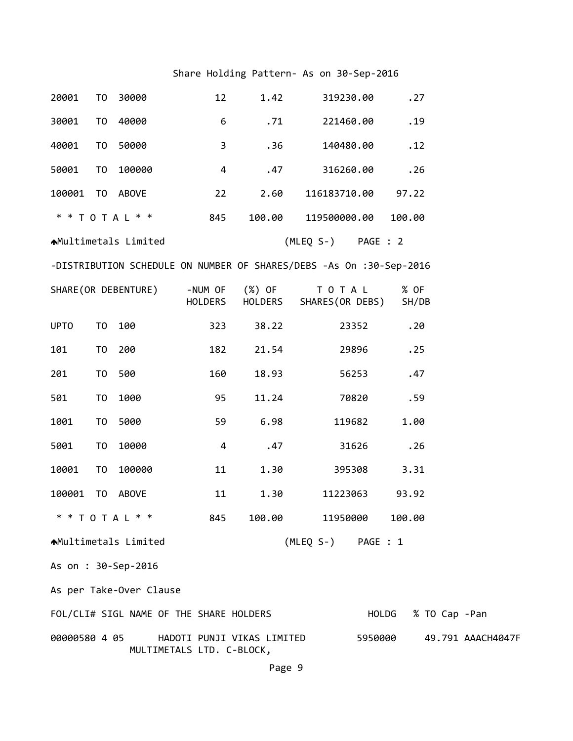## Share Holding Pattern‐ As on 30‐Sep‐2016

| 20001         | T <sub>0</sub> | 30000                                   | 12                 | 1.42                       | 319230.00                                                           | .27           |               |                   |
|---------------|----------------|-----------------------------------------|--------------------|----------------------------|---------------------------------------------------------------------|---------------|---------------|-------------------|
| 30001         | T0             | 40000                                   | 6                  | .71                        | 221460.00                                                           | .19           |               |                   |
| 40001         | T0             | 50000                                   | 3                  | .36                        | 140480.00                                                           | .12           |               |                   |
| 50001         | T <sub>0</sub> | 100000                                  | 4                  | .47                        | 316260.00                                                           | .26           |               |                   |
| 100001        |                | TO ABOVE                                | 22                 | 2.60                       | 116183710.00                                                        | 97.22         |               |                   |
|               |                | * * T O T A L * *                       | 845                | 100.00                     | 119500000.00                                                        | 100.00        |               |                   |
|               |                | <b>AMultimetals Limited</b>             |                    |                            | (MLEQ S-) PAGE : 2                                                  |               |               |                   |
|               |                |                                         |                    |                            | -DISTRIBUTION SCHEDULE ON NUMBER OF SHARES/DEBS -As On :30-Sep-2016 |               |               |                   |
|               |                | SHARE (OR DEBENTURE)                    | -NUM OF<br>HOLDERS | (%) OF<br>HOLDERS          | T O T A L<br>SHARES(OR DEBS)                                        | % OF<br>SH/DB |               |                   |
| <b>UPTO</b>   | TO             | 100                                     | 323                | 38.22                      | 23352                                                               | .20           |               |                   |
| 101           | T <sub>0</sub> | 200                                     | 182                | 21.54                      | 29896                                                               | .25           |               |                   |
| 201           | T <sub>0</sub> | 500                                     | 160                | 18.93                      | 56253                                                               | .47           |               |                   |
| 501           | T <sub>0</sub> | 1000                                    | 95                 | 11.24                      | 70820                                                               | .59           |               |                   |
| 1001          | T <sub>0</sub> | 5000                                    | 59                 | 6.98                       | 119682                                                              | 1.00          |               |                   |
| 5001          | T <sub>0</sub> | 10000                                   | 4                  | .47                        | 31626                                                               | .26           |               |                   |
| 10001         | T <sub>0</sub> | 100000                                  | 11                 | 1.30                       | 395308                                                              | 3.31          |               |                   |
| 100001        | T0             | ABOVE                                   | 11                 | 1.30                       | 11223063                                                            | 93.92         |               |                   |
|               |                | * * T O T A L * *                       | 845                | 100.00                     | 11950000                                                            | 100.00        |               |                   |
|               |                | ▲Multimetals Limited                    |                    |                            | (MLEQ S-) PAGE : 1                                                  |               |               |                   |
|               |                | As on : 30-Sep-2016                     |                    |                            |                                                                     |               |               |                   |
|               |                | As per Take-Over Clause                 |                    |                            |                                                                     |               |               |                   |
|               |                | FOL/CLI# SIGL NAME OF THE SHARE HOLDERS |                    |                            |                                                                     | HOLDG         | % TO Cap -Pan |                   |
| 00000580 4 05 |                | MULTIMETALS LTD. C-BLOCK,               |                    | HADOTI PUNJI VIKAS LIMITED |                                                                     | 5950000       |               | 49.791 AAACH4047F |

Page 9